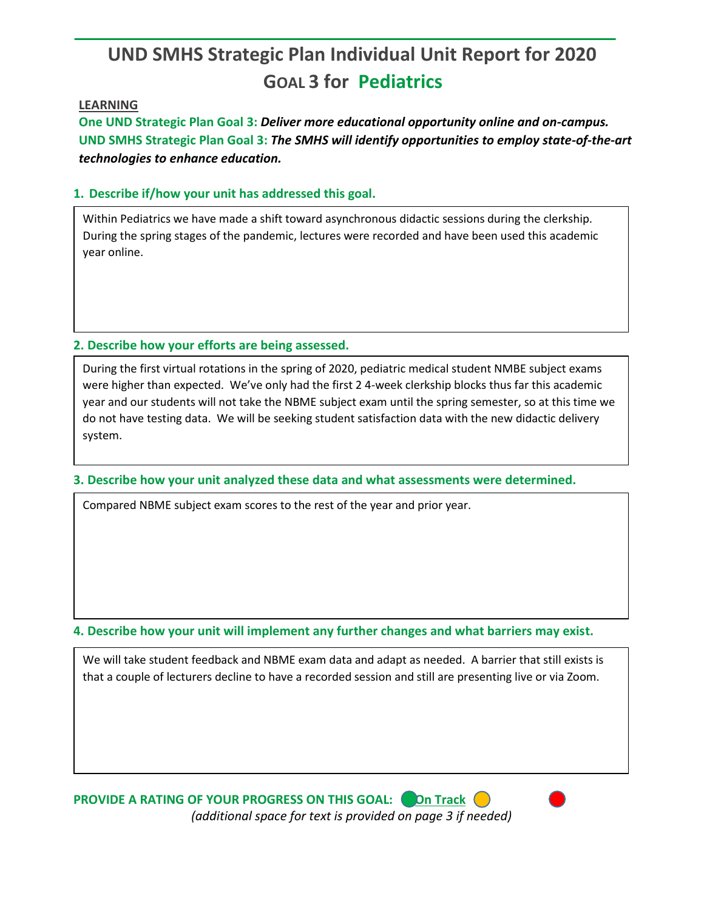# **UND SMHS Strategic Plan Individual Unit Report for 2020 GOAL 3 for Pediatrics**

#### **LEARNING**

**One UND Strategic Plan Goal 3:** *Deliver more educational opportunity online and on-campus.* **UND SMHS Strategic Plan Goal 3:** *The SMHS will identify opportunities to employ state-of-the-art technologies to enhance education.*

## **1. Describe if/how your unit has addressed this goal.**

Within Pediatrics we have made a shift toward asynchronous didactic sessions during the clerkship. During the spring stages of the pandemic, lectures were recorded and have been used this academic year online.

## **2. Describe how your efforts are being assessed.**

During the first virtual rotations in the spring of 2020, pediatric medical student NMBE subject exams were higher than expected. We've only had the first 2 4-week clerkship blocks thus far this academic year and our students will not take the NBME subject exam until the spring semester, so at this time we do not have testing data. We will be seeking student satisfaction data with the new didactic delivery system.

#### **3. Describe how your unit analyzed these data and what assessments were determined.**

Compared NBME subject exam scores to the rest of the year and prior year.

**4. Describe how your unit will implement any further changes and what barriers may exist.**

We will take student feedback and NBME exam data and adapt as needed. A barrier that still exists is that a couple of lecturers decline to have a recorded session and still are presenting live or via Zoom.

**PROVIDE A RATING OF YOUR PROGRESS ON THIS GOAL: On Track (C)** *(additional space for text is provided on page 3 if needed)*  $\overline{a}$